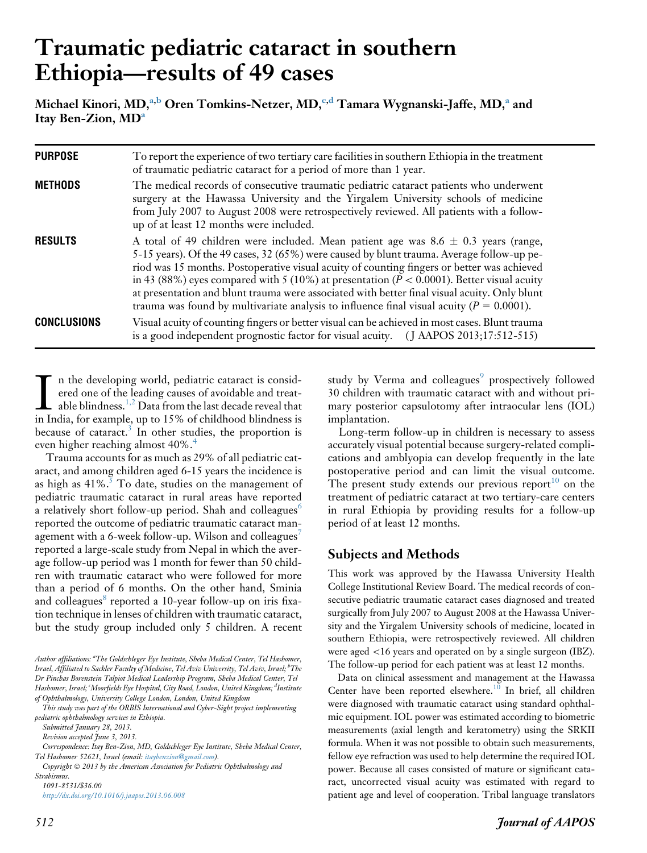# Traumatic pediatric cataract in southern Ethiopia—results of 49 cases

Michael Kinori, MD,<sup>a,b</sup> Oren Tomkins-Netzer, MD,<sup>c,d</sup> Tamara Wygnanski-Jaffe, MD,<sup>a</sup> and Itay Ben-Zion, MD<sup>a</sup>

| <b>PURPOSE</b>     | To report the experience of two tertiary care facilities in southern Ethiopia in the treatment<br>of traumatic pediatric cataract for a period of more than 1 year.                                                                                                                                                                                                                                                                                                                                                                                                                |
|--------------------|------------------------------------------------------------------------------------------------------------------------------------------------------------------------------------------------------------------------------------------------------------------------------------------------------------------------------------------------------------------------------------------------------------------------------------------------------------------------------------------------------------------------------------------------------------------------------------|
| <b>METHODS</b>     | The medical records of consecutive traumatic pediatric cataract patients who underwent<br>surgery at the Hawassa University and the Yirgalem University schools of medicine<br>from July 2007 to August 2008 were retrospectively reviewed. All patients with a follow-<br>up of at least 12 months were included.                                                                                                                                                                                                                                                                 |
| <b>RESULTS</b>     | A total of 49 children were included. Mean patient age was $8.6 \pm 0.3$ years (range,<br>5-15 years). Of the 49 cases, 32 (65%) were caused by blunt trauma. Average follow-up pe-<br>riod was 15 months. Postoperative visual acuity of counting fingers or better was achieved<br>in 43 (88%) eyes compared with 5 (10%) at presentation ( $P < 0.0001$ ). Better visual acuity<br>at presentation and blunt trauma were associated with better final visual acuity. Only blunt<br>trauma was found by multivariate analysis to influence final visual acuity ( $P = 0.0001$ ). |
| <b>CONCLUSIONS</b> | Visual acuity of counting fingers or better visual can be achieved in most cases. Blunt trauma<br>is a good independent prognostic factor for visual acuity. (J AAPOS 2013;17:512-515)                                                                                                                                                                                                                                                                                                                                                                                             |

In the developing world, pediatric cataract is considered one of the leading causes of avoidable and treat-<br>able blindness.<sup>1,2</sup> Data from the last decade reveal that<br>in India, for example, up to 15% of childhood blindness n the developing world, pediatric cataract is considered one of the leading causes of avoidable and treat-- able blindness.<sup>[1,2](#page-2-0)</sup> Data from the last decade reveal that because of cataract. $3$  In other studies, the proportion is even higher reaching almost [4](#page-2-0)0%.<sup>4</sup>

Trauma accounts for as much as 29% of all pediatric cataract, and among children aged 6-15 years the incidence is as high as  $41\%$ .<sup>5</sup> To date, studies on the management of pediatric traumatic cataract in rural areas have reported a relatively short follow-up period. Shah and colleagues<sup>[6](#page-2-0)</sup> reported the outcome of pediatric traumatic cataract man-agement with a 6-week follow-up. Wilson and colleagues<sup>[7](#page-2-0)</sup> reported a large-scale study from Nepal in which the average follow-up period was 1 month for fewer than 50 children with traumatic cataract who were followed for more than a period of 6 months. On the other hand, Sminia and colleagues<sup>[8](#page-2-0)</sup> reported a 10-year follow-up on iris fixation technique in lenses of children with traumatic cataract, but the study group included only 5 children. A recent

Author affiliations: "The Goldschleger Eye Institute, Sheba Medical Center, Tel Hashomer, Israel, Affiliated to Sackler Faculty of Medicine, Tel Aviv University, Tel Aviv, Israel; <sup>b</sup>The Dr Pinchas Borenstein Talpiot Medical Leadership Program, Sheba Medical Center, Tel Hashomer, Israel; 'Moorfields Eye Hospital, City Road, London, United Kingdom; <sup>d</sup>Institute of Ophthalmology, University College London, London, United Kingdom

This study was part of the ORBIS International and Cyber-Sight project implementing pediatric ophthalmology services in Ethiopia.

Submitted January 28, 2013.

Revision accepted June 3, 2013.

Correspondence: Itay Ben-Zion, MD, Goldschleger Eye Institute, Sheba Medical Center, Tel Hashomer 52621, Israel (email: [itaybenzion@gmail.com](mailto:itaybenzion@gmail.com)).

Copyright  $\odot$  2013 by the American Association for Pediatric Ophthalmology and Strabismus.

1091-8531/\$36.00

<http://dx.doi.org/10.1016/j.jaapos.2013.06.008>

study by Verma and colleagues<sup>[9](#page-2-0)</sup> prospectively followed 30 children with traumatic cataract with and without primary posterior capsulotomy after intraocular lens (IOL) implantation.

Long-term follow-up in children is necessary to assess accurately visual potential because surgery-related complications and amblyopia can develop frequently in the late postoperative period and can limit the visual outcome. The present study extends our previous report<sup>[10](#page-2-0)</sup> on the treatment of pediatric cataract at two tertiary-care centers in rural Ethiopia by providing results for a follow-up period of at least 12 months.

## Subjects and Methods

This work was approved by the Hawassa University Health College Institutional Review Board. The medical records of consecutive pediatric traumatic cataract cases diagnosed and treated surgically from July 2007 to August 2008 at the Hawassa University and the Yirgalem University schools of medicine, located in southern Ethiopia, were retrospectively reviewed. All children were aged <16 years and operated on by a single surgeon (IBZ). The follow-up period for each patient was at least 12 months.

Data on clinical assessment and management at the Hawassa Center have been reported elsewhere.<sup>[10](#page-2-0)</sup> In brief, all children were diagnosed with traumatic cataract using standard ophthalmic equipment. IOL power was estimated according to biometric measurements (axial length and keratometry) using the SRKII formula. When it was not possible to obtain such measurements, fellow eye refraction was used to help determine the required IOL power. Because all cases consisted of mature or significant cataract, uncorrected visual acuity was estimated with regard to patient age and level of cooperation. Tribal language translators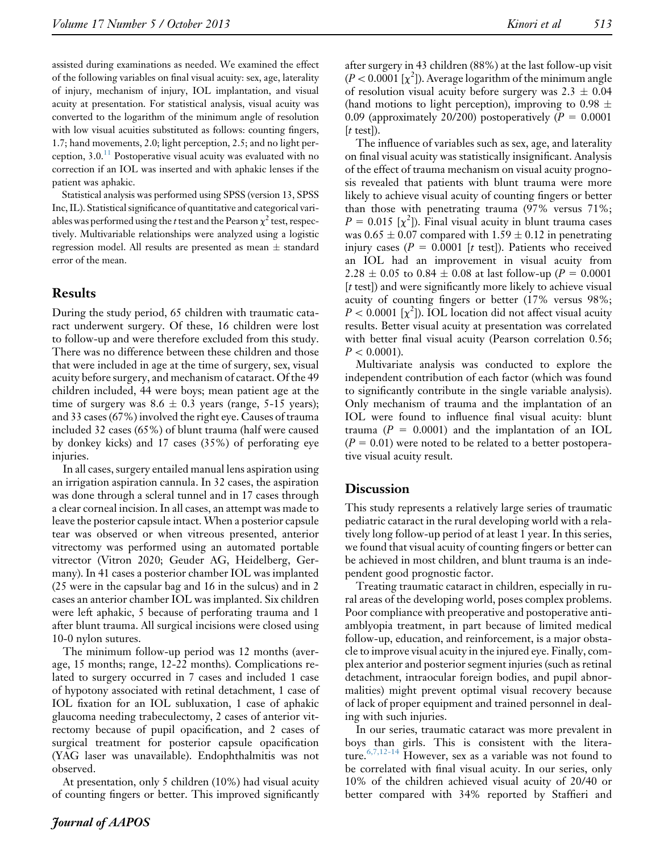assisted during examinations as needed. We examined the effect of the following variables on final visual acuity: sex, age, laterality of injury, mechanism of injury, IOL implantation, and visual acuity at presentation. For statistical analysis, visual acuity was converted to the logarithm of the minimum angle of resolution with low visual acuities substituted as follows: counting fingers, 1.7; hand movements, 2.0; light perception, 2.5; and no light perception,  $3.0<sup>11</sup>$  $3.0<sup>11</sup>$  $3.0<sup>11</sup>$  Postoperative visual acuity was evaluated with no correction if an IOL was inserted and with aphakic lenses if the patient was aphakic.

Statistical analysis was performed using SPSS (version 13, SPSS Inc, IL). Statistical significance of quantitative and categorical variables was performed using the t test and the Pearson  $\chi^2$  test, respectively. Multivariable relationships were analyzed using a logistic regression model. All results are presented as mean  $\pm$  standard error of the mean.

## Results

During the study period, 65 children with traumatic cataract underwent surgery. Of these, 16 children were lost to follow-up and were therefore excluded from this study. There was no difference between these children and those that were included in age at the time of surgery, sex, visual acuity before surgery, and mechanism of cataract. Of the 49 children included, 44 were boys; mean patient age at the time of surgery was  $8.6 \pm 0.3$  years (range, 5-15 years); and 33 cases (67%) involved the right eye. Causes of trauma included 32 cases (65%) of blunt trauma (half were caused by donkey kicks) and 17 cases (35%) of perforating eye injuries.

In all cases, surgery entailed manual lens aspiration using an irrigation aspiration cannula. In 32 cases, the aspiration was done through a scleral tunnel and in 17 cases through a clear corneal incision. In all cases, an attempt was made to leave the posterior capsule intact. When a posterior capsule tear was observed or when vitreous presented, anterior vitrectomy was performed using an automated portable vitrector (Vitron 2020; Geuder AG, Heidelberg, Germany). In 41 cases a posterior chamber IOL was implanted (25 were in the capsular bag and 16 in the sulcus) and in 2 cases an anterior chamber IOL was implanted. Six children were left aphakic, 5 because of perforating trauma and 1 after blunt trauma. All surgical incisions were closed using 10-0 nylon sutures.

The minimum follow-up period was 12 months (average, 15 months; range, 12-22 months). Complications related to surgery occurred in 7 cases and included 1 case of hypotony associated with retinal detachment, 1 case of IOL fixation for an IOL subluxation, 1 case of aphakic glaucoma needing trabeculectomy, 2 cases of anterior vitrectomy because of pupil opacification, and 2 cases of surgical treatment for posterior capsule opacification (YAG laser was unavailable). Endophthalmitis was not observed.

At presentation, only 5 children (10%) had visual acuity of counting fingers or better. This improved significantly after surgery in 43 children (88%) at the last follow-up visit  $(P < 0.0001$  [ $\chi^2$ ]). Average logarithm of the minimum angle of resolution visual acuity before surgery was  $2.3 \pm 0.04$ (hand motions to light perception), improving to 0.98  $\pm$ 0.09 (approximately 20/200) postoperatively  $(P = 0.0001)$  $[t \text{ test}].$ 

The influence of variables such as sex, age, and laterality on final visual acuity was statistically insignificant. Analysis of the effect of trauma mechanism on visual acuity prognosis revealed that patients with blunt trauma were more likely to achieve visual acuity of counting fingers or better than those with penetrating trauma (97% versus 71%;  $P = 0.015$  [ $\chi^2$ ]). Final visual acuity in blunt trauma cases was  $0.65 \pm 0.07$  compared with  $1.59 \pm 0.12$  in penetrating injury cases ( $P = 0.0001$  [t test]). Patients who received an IOL had an improvement in visual acuity from  $2.28 \pm 0.05$  to  $0.84 \pm 0.08$  at last follow-up (P = 0.0001 [t test]) and were significantly more likely to achieve visual acuity of counting fingers or better (17% versus 98%;  $P < 0.0001$  [ $\chi^2$ ]). IOL location did not affect visual acuity results. Better visual acuity at presentation was correlated with better final visual acuity (Pearson correlation 0.56;  $P < 0.0001$ ).

Multivariate analysis was conducted to explore the independent contribution of each factor (which was found to significantly contribute in the single variable analysis). Only mechanism of trauma and the implantation of an IOL were found to influence final visual acuity: blunt trauma ( $P = 0.0001$ ) and the implantation of an IOL  $(P = 0.01)$  were noted to be related to a better postoperative visual acuity result.

## **Discussion**

This study represents a relatively large series of traumatic pediatric cataract in the rural developing world with a relatively long follow-up period of at least 1 year. In this series, we found that visual acuity of counting fingers or better can be achieved in most children, and blunt trauma is an independent good prognostic factor.

Treating traumatic cataract in children, especially in rural areas of the developing world, poses complex problems. Poor compliance with preoperative and postoperative antiamblyopia treatment, in part because of limited medical follow-up, education, and reinforcement, is a major obstacle to improve visual acuity in the injured eye. Finally, complex anterior and posterior segment injuries (such as retinal detachment, intraocular foreign bodies, and pupil abnormalities) might prevent optimal visual recovery because of lack of proper equipment and trained personnel in dealing with such injuries.

In our series, traumatic cataract was more prevalent in boys than girls. This is consistent with the literature.[6,7,12-14](#page-2-0) However, sex as a variable was not found to be correlated with final visual acuity. In our series, only 10% of the children achieved visual acuity of 20/40 or better compared with 34% reported by Staffieri and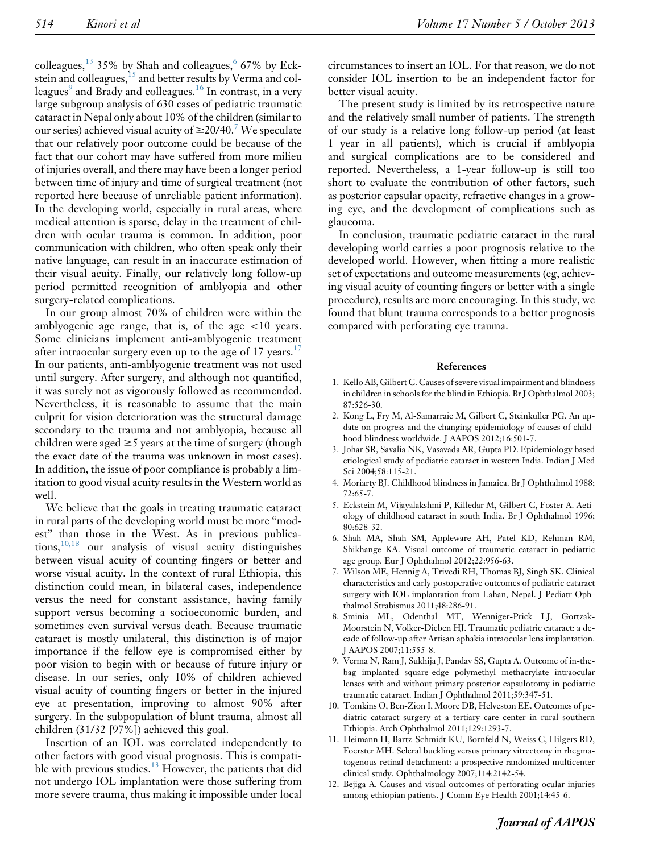<span id="page-2-0"></span>colleagues, $^{13}$  $^{13}$  $^{13}$  35% by Shah and colleagues, $^{6}$  67% by Eck-stein and colleagues,<sup>[15](#page-3-0)</sup> and better results by Verma and col-leagues<sup>9</sup> and Brady and colleagues.<sup>[16](#page-3-0)</sup> In contrast, in a very large subgroup analysis of 630 cases of pediatric traumatic cataract in Nepal only about 10% of the children (similar to our series) achieved visual acuity of  $\geq$  20/40.<sup>7</sup> We speculate that our relatively poor outcome could be because of the fact that our cohort may have suffered from more milieu of injuries overall, and there may have been a longer period between time of injury and time of surgical treatment (not reported here because of unreliable patient information). In the developing world, especially in rural areas, where medical attention is sparse, delay in the treatment of children with ocular trauma is common. In addition, poor communication with children, who often speak only their native language, can result in an inaccurate estimation of their visual acuity. Finally, our relatively long follow-up period permitted recognition of amblyopia and other surgery-related complications.

In our group almost 70% of children were within the amblyogenic age range, that is, of the age  $\langle 10 \rangle$  years. Some clinicians implement anti-amblyogenic treatment after intraocular surgery even up to the age of [17](#page-3-0) years.<sup>17</sup> In our patients, anti-amblyogenic treatment was not used until surgery. After surgery, and although not quantified, it was surely not as vigorously followed as recommended. Nevertheless, it is reasonable to assume that the main culprit for vision deterioration was the structural damage secondary to the trauma and not amblyopia, because all children were aged  $\geq$ 5 years at the time of surgery (though the exact date of the trauma was unknown in most cases). In addition, the issue of poor compliance is probably a limitation to good visual acuity results in the Western world as well.

We believe that the goals in treating traumatic cataract in rural parts of the developing world must be more "modest" than those in the West. As in previous publications,10,18 our analysis of visual acuity distinguishes between visual acuity of counting fingers or better and worse visual acuity. In the context of rural Ethiopia, this distinction could mean, in bilateral cases, independence versus the need for constant assistance, having family support versus becoming a socioeconomic burden, and sometimes even survival versus death. Because traumatic cataract is mostly unilateral, this distinction is of major importance if the fellow eye is compromised either by poor vision to begin with or because of future injury or disease. In our series, only 10% of children achieved visual acuity of counting fingers or better in the injured eye at presentation, improving to almost 90% after surgery. In the subpopulation of blunt trauma, almost all children (31/32 [97%]) achieved this goal.

Insertion of an IOL was correlated independently to other factors with good visual prognosis. This is compati-ble with previous studies.<sup>[13](#page-3-0)</sup> However, the patients that did not undergo IOL implantation were those suffering from more severe trauma, thus making it impossible under local

circumstances to insert an IOL. For that reason, we do not consider IOL insertion to be an independent factor for better visual acuity.

The present study is limited by its retrospective nature and the relatively small number of patients. The strength of our study is a relative long follow-up period (at least 1 year in all patients), which is crucial if amblyopia and surgical complications are to be considered and reported. Nevertheless, a 1-year follow-up is still too short to evaluate the contribution of other factors, such as posterior capsular opacity, refractive changes in a growing eye, and the development of complications such as glaucoma.

In conclusion, traumatic pediatric cataract in the rural developing world carries a poor prognosis relative to the developed world. However, when fitting a more realistic set of expectations and outcome measurements (eg, achieving visual acuity of counting fingers or better with a single procedure), results are more encouraging. In this study, we found that blunt trauma corresponds to a better prognosis compared with perforating eye trauma.

### References

- 1. Kello AB, Gilbert C. Causes of severe visual impairment and blindness in children in schools for the blind in Ethiopia. Br J Ophthalmol 2003; 87:526-30.
- 2. Kong L, Fry M, Al-Samarraie M, Gilbert C, Steinkuller PG. An update on progress and the changing epidemiology of causes of childhood blindness worldwide. J AAPOS 2012;16:501-7.
- 3. Johar SR, Savalia NK, Vasavada AR, Gupta PD. Epidemiology based etiological study of pediatric cataract in western India. Indian J Med Sci 2004;58:115-21.
- 4. Moriarty BJ. Childhood blindness in Jamaica. Br J Ophthalmol 1988; 72:65-7.
- 5. Eckstein M, Vijayalakshmi P, Killedar M, Gilbert C, Foster A. Aetiology of childhood cataract in south India. Br J Ophthalmol 1996; 80:628-32.
- 6. Shah MA, Shah SM, Appleware AH, Patel KD, Rehman RM, Shikhange KA. Visual outcome of traumatic cataract in pediatric age group. Eur J Ophthalmol 2012;22:956-63.
- 7. Wilson ME, Hennig A, Trivedi RH, Thomas BJ, Singh SK. Clinical characteristics and early postoperative outcomes of pediatric cataract surgery with IOL implantation from Lahan, Nepal. J Pediatr Ophthalmol Strabismus 2011;48:286-91.
- 8. Sminia ML, Odenthal MT, Wenniger-Prick LJ, Gortzak-Moorstein N, Volker-Dieben HJ. Traumatic pediatric cataract: a decade of follow-up after Artisan aphakia intraocular lens implantation. J AAPOS 2007;11:555-8.
- 9. Verma N, Ram J, Sukhija J, Pandav SS, Gupta A. Outcome of in-thebag implanted square-edge polymethyl methacrylate intraocular lenses with and without primary posterior capsulotomy in pediatric traumatic cataract. Indian J Ophthalmol 2011;59:347-51.
- 10. Tomkins O, Ben-Zion I, Moore DB, Helveston EE. Outcomes of pediatric cataract surgery at a tertiary care center in rural southern Ethiopia. Arch Ophthalmol 2011;129:1293-7.
- 11. Heimann H, Bartz-Schmidt KU, Bornfeld N, Weiss C, Hilgers RD, Foerster MH. Scleral buckling versus primary vitrectomy in rhegmatogenous retinal detachment: a prospective randomized multicenter clinical study. Ophthalmology 2007;114:2142-54.
- 12. Bejiga A. Causes and visual outcomes of perforating ocular injuries among ethiopian patients. J Comm Eye Health 2001;14:45-6.